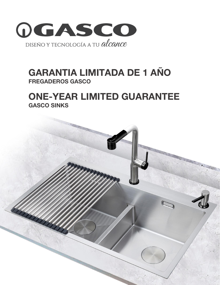

# GARANTIA LIMITADA DE 1 AÑO FREGADEROS GASCO

## ONE-YEAR LIMITED GUARANTEE GASCO SINKS

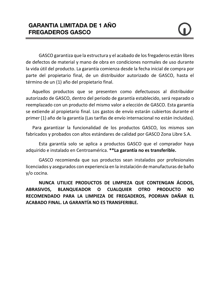GASCO garantiza que la estructura y el acabado de los fregaderos están libres de defectos de material y mano de obra en condiciones normales de uso durante la vida útil del producto. La garantía comienza desde la fecha inicial de compra por parte del propietario final, de un distribuidor autorizado de GASCO, hasta el término de un (1) año del propietario final.

Aquellos productos que se presenten como defectuosos al distribuidor autorizado de GASCO, dentro del periodo de garantía establecido, será reparado o reemplazado con un producto del mismo valor a elección de GASCO. Esta garantía se extiende al propietario final. Los gastos de envío estarán cubiertos durante el primer (1) año de la garantía (Las tarifas de envío internacional no están incluidas).

Para garantizar la funcionalidad de los productos GASCO, los mismos son fabricados y probados con altos estándares de calidad por GASCO Zona Libre S.A.

Esta garantía solo se aplica a productos GASCO que el comprador haya adquirido e instalado en Centroamérica. **\*\*La garantía no es transferible.**

GASCO recomienda que sus productos sean instalados por profesionales licenciados y asegurados con experiencia en la instalación de manufacturas de baño y/o cocina.

**NUNCA UTILICE PRODUCTOS DE LIMPIEZA QUE CONTENGAN ÁCIDOS, ABRASIVOS, BLANQUEADOR O CUALQUIER OTRO PRODUCTO NO RECOMENDADO PARA LA LIMPIEZA DE FREGADEROS, PODRIAN DAÑAR EL ACABADO FINAL. LA GARANTÍA NO ES TRANSFERIBLE.**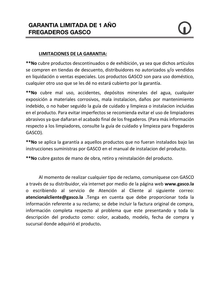#### **LIMITACIONES DE LA GARANTIA:**

**\*\*No** cubre productos descontinuados o de exhibición, ya sea que dichos artículos se compren en tiendas de descuento, distribuidores no autorizados y/o vendidos en liquidación o ventas especiales. Los productos GASCO son para uso doméstico, cualquier otro uso que se les dé no estará cubierto por la garantía.

**\*\*No** cubre mal uso, accidentes, depósitos minerales del agua, cualquier exposición a materiales corrosivos, mala instalacion, daños por mantenimiento indebido, o no haber seguido la guía de cuidado y limpieza o instalacion incluidas en el producto. Para evitar imperfectos se recomienda evitar el uso de limpiadores abrasivos ya que dañaran el acabado final de los fregaderos. (Para más información respecto a los limpiadores, consulte la guía de cuidado y limpieza para fregaderos GASCO).

**\*\*No** se aplica la garantía a aquellos productos que no fueran instalados bajo las instrucciones suministras por GASCO en el manual de instalacion del producto.

**\*\*No** cubre gastos de mano de obra, retiro y reinstalación del producto.

Al momento de realizar cualquier tipo de reclamo, comuníquese con GASCO a través de su distribuidor, vía internet por medio de la página web **[www.gasco.la](http://www.gasco.la/)** o escribiendo al servicio de Atención al Cliente al siguiente correo: **[atencionalcliente@gasco.la](mailto:atencionalcliente@gasco.la)** .Tenga en cuenta que debe proporcionar toda la información referente a su reclamo; se debe incluir la factura original de compra, información completa respecto al problema que este presentando y toda la descripción del producto como: color, acabado, modelo, fecha de compra y sucursal donde adquirió el producto**.**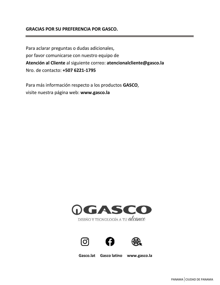#### **GRACIAS POR SU PREFERENCIA POR GASCO.**

Para aclarar preguntas o dudas adicionales, por favor comunicarse con nuestro equipo de **Atención al Cliente** al siguiente correo: **[atencionalcliente@gasco.la](mailto:atencionalcliente@gasco.la)** Nro. de contacto: **+507 6221-1795**

Para más información respecto a los productos **GASCO**, visite nuestra página web: **[www.gasco.la](http://www.gasco.la/)**







 **Gasco.lat Gasco latino www.gasco.la**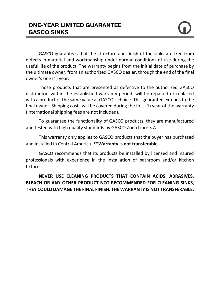GASCO guarantees that the structure and finish of the sinks are free from defects in material and workmanship under normal conditions of use during the useful life of the product. The warranty begins from the initial date of purchase by the ultimate owner, from an authorized GASCO dealer, through the end of the final owner's one (1) year.

Those products that are presented as defective to the authorized GASCO distributor, within the established warranty period, will be repaired or replaced with a product of the same value at GASCO's choice. This guarantee extends to the final owner. Shipping costs will be covered during the first (1) year of the warranty (International shipping fees are not included).

To guarantee the functionality of GASCO products, they are manufactured and tested with high quality standards by GASCO Zona Libre S.A.

This warranty only applies to GASCO products that the buyer has purchased and installed in Central America. **\*\*Warranty is not transferable.**

GASCO recommends that its products be installed by licensed and insured professionals with experience in the installation of bathroom and/or kitchen fixtures.

**NEVER USE CLEANING PRODUCTS THAT CONTAIN ACIDS, ABRASIVES, BLEACH OR ANY OTHER PRODUCT NOT RECOMMENDED FOR CLEANING SINKS, THEY COULD DAMAGE THE FINAL FINISH. THE WARRANTY IS NOT TRANSFERABLE.**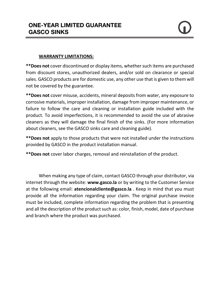#### **WARRANTY LIMITATIONS:**

**\*\*Does not** cover discontinued or display items, whether such items are purchased from discount stores, unauthorized dealers, and/or sold on clearance or special sales. GASCO products are for domestic use, any other use that is given to them will not be covered by the guarantee.

**\*\*Does not** cover misuse, accidents, mineral deposits from water, any exposure to corrosive materials, improper installation, damage from improper maintenance, or failure to follow the care and cleaning or installation guide included with the product. To avoid imperfections, it is recommended to avoid the use of abrasive cleaners as they will damage the final finish of the sinks. (For more information about cleaners, see the GASCO sinks care and cleaning guide).

**\*\*Does not** apply to those products that were not installed under the instructions provided by GASCO in the product installation manual.

**\*\*Does not** cover labor charges, removal and reinstallation of the product.

When making any type of claim, contact GASCO through your distributor, via internet through the website: **www.gasco.la** or by writing to the Customer Service at the following email: **[atencionalcliente@gasco.la](mailto:atencionalcliente@gasco.la)** . Keep in mind that you must provide all the information regarding your claim. The original purchase invoice must be included, complete information regarding the problem that is presenting and all the description of the product such as: color, finish, model, date of purchase and branch where the product was purchased.